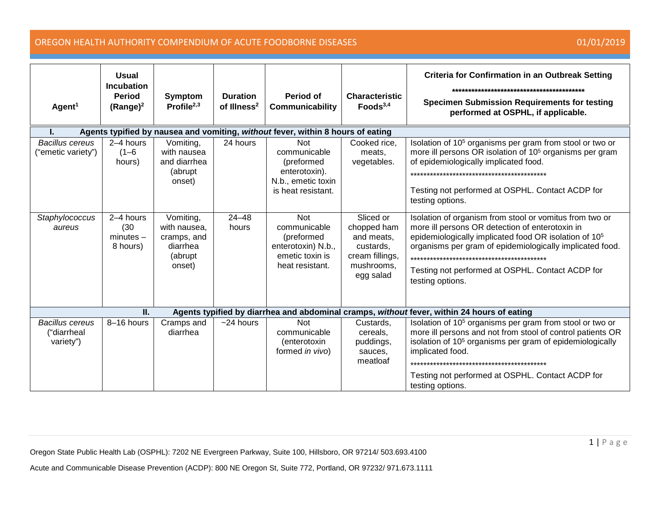| Agent <sup>1</sup>                                                              | <b>Usual</b><br><b>Incubation</b><br><b>Period</b><br>$(Range)^2$ | <b>Symptom</b><br>Profile $^{2,3}$                                        | <b>Duration</b><br>of Illness <sup>2</sup> | Period of<br>Communicability                                                                          | <b>Characteristic</b><br>Foods $3,4$                                                              | <b>Criteria for Confirmation in an Outbreak Setting</b><br><b>Specimen Submission Requirements for testing</b><br>performed at OSPHL, if applicable.                                                                                                                                                                                                        |  |  |  |
|---------------------------------------------------------------------------------|-------------------------------------------------------------------|---------------------------------------------------------------------------|--------------------------------------------|-------------------------------------------------------------------------------------------------------|---------------------------------------------------------------------------------------------------|-------------------------------------------------------------------------------------------------------------------------------------------------------------------------------------------------------------------------------------------------------------------------------------------------------------------------------------------------------------|--|--|--|
| Agents typified by nausea and vomiting, without fever, within 8 hours of eating |                                                                   |                                                                           |                                            |                                                                                                       |                                                                                                   |                                                                                                                                                                                                                                                                                                                                                             |  |  |  |
| <b>Bacillus cereus</b><br>"emetic variety")                                     | 2-4 hours<br>$(1 - 6)$<br>hours)                                  | Vomiting,<br>with nausea<br>and diarrhea<br>(abrupt<br>onset)             | 24 hours                                   | <b>Not</b><br>communicable<br>(preformed<br>enterotoxin).<br>N.b., emetic toxin<br>is heat resistant. | Cooked rice,<br>meats,<br>vegetables.                                                             | Isolation of 10 <sup>5</sup> organisms per gram from stool or two or<br>more ill persons OR isolation of 10 <sup>5</sup> organisms per gram<br>of epidemiologically implicated food.<br>Testing not performed at OSPHL. Contact ACDP for<br>testing options.                                                                                                |  |  |  |
| Staphylococcus<br>aureus                                                        | 2-4 hours<br>(30)<br>$minutes -$<br>8 hours)                      | Vomiting,<br>with nausea,<br>cramps, and<br>diarrhea<br>(abrupt<br>onset) | $24 - 48$<br>hours                         | <b>Not</b><br>communicable<br>(preformed<br>enterotoxin) N.b.,<br>emetic toxin is<br>heat resistant.  | Sliced or<br>chopped ham<br>and meats,<br>custards,<br>cream fillings,<br>mushrooms,<br>egg salad | Isolation of organism from stool or vomitus from two or<br>more ill persons OR detection of enterotoxin in<br>epidemiologically implicated food OR isolation of 10 <sup>5</sup><br>organisms per gram of epidemiologically implicated food.<br>************************************<br>Testing not performed at OSPHL. Contact ACDP for<br>testing options. |  |  |  |
|                                                                                 | II.                                                               |                                                                           |                                            |                                                                                                       |                                                                                                   | Agents typified by diarrhea and abdominal cramps, without fever, within 24 hours of eating                                                                                                                                                                                                                                                                  |  |  |  |
| <b>Bacillus cereus</b><br>("diarrheal<br>variety")                              | 8-16 hours                                                        | Cramps and<br>diarrhea                                                    | $~24$ hours                                | <b>Not</b><br>communicable<br>(enterotoxin<br>formed in vivo)                                         | Custards,<br>cereals.<br>puddings,<br>sauces,<br>meatloaf                                         | Isolation of 10 <sup>5</sup> organisms per gram from stool or two or<br>more ill persons and not from stool of control patients OR<br>isolation of 10 <sup>5</sup> organisms per gram of epidemiologically<br>implicated food.<br>Testing not performed at OSPHL. Contact ACDP for<br>testing options.                                                      |  |  |  |

Oregon State Public Health Lab (OSPHL): 7202 NE Evergreen Parkway, Suite 100, Hillsboro, OR 97214/ 503.693.4100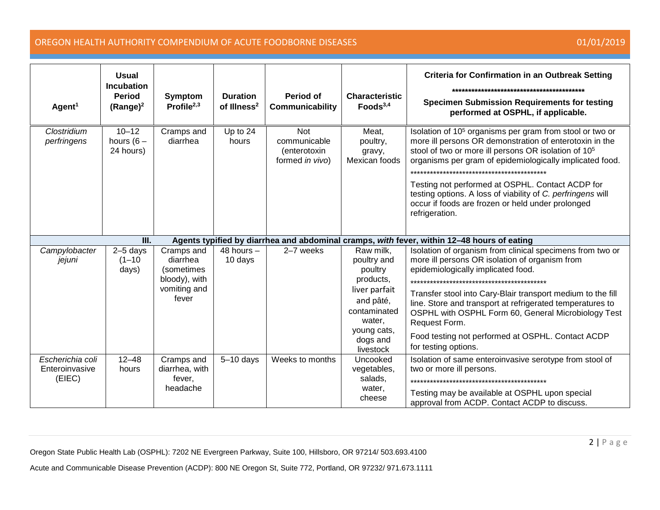| Agent <sup>1</sup>                           | <b>Usual</b><br><b>Incubation</b><br><b>Period</b><br>$(Range)^2$ | <b>Symptom</b><br>Profile $^{2,3}$                                             | <b>Duration</b><br>of Illness <sup>2</sup> | Period of<br>Communicability                                  | <b>Characteristic</b><br>Foods $3,4$                                                                                                             | <b>Criteria for Confirmation in an Outbreak Setting</b><br><b>Specimen Submission Requirements for testing</b><br>performed at OSPHL, if applicable.                                                                                                                                                                                                                                                                                                      |
|----------------------------------------------|-------------------------------------------------------------------|--------------------------------------------------------------------------------|--------------------------------------------|---------------------------------------------------------------|--------------------------------------------------------------------------------------------------------------------------------------------------|-----------------------------------------------------------------------------------------------------------------------------------------------------------------------------------------------------------------------------------------------------------------------------------------------------------------------------------------------------------------------------------------------------------------------------------------------------------|
| Clostridium<br>perfringens                   | $10 - 12$<br>hours $(6 -$<br>24 hours)                            | Cramps and<br>diarrhea                                                         | Up to 24<br>hours                          | <b>Not</b><br>communicable<br>(enterotoxin<br>formed in vivo) | Meat,<br>poultry,<br>gravy,<br>Mexican foods                                                                                                     | Isolation of 10 <sup>5</sup> organisms per gram from stool or two or<br>more ill persons OR demonstration of enterotoxin in the<br>stool of two or more ill persons OR isolation of 10 <sup>5</sup><br>organisms per gram of epidemiologically implicated food.<br>Testing not performed at OSPHL. Contact ACDP for<br>testing options. A loss of viability of C. perfringens will<br>occur if foods are frozen or held under prolonged<br>refrigeration. |
|                                              | III.                                                              |                                                                                |                                            |                                                               |                                                                                                                                                  | Agents typified by diarrhea and abdominal cramps, with fever, within 12-48 hours of eating                                                                                                                                                                                                                                                                                                                                                                |
| Campylobacter<br>jejuni                      | $2-5$ days<br>$(1 - 10)$<br>days)                                 | Cramps and<br>diarrhea<br>(sometimes<br>bloody), with<br>vomiting and<br>fever | 48 hours $-$<br>10 days                    | 2-7 weeks                                                     | Raw milk,<br>poultry and<br>poultry<br>products,<br>liver parfait<br>and pâté,<br>contaminated<br>water,<br>young cats,<br>dogs and<br>livestock | Isolation of organism from clinical specimens from two or<br>more ill persons OR isolation of organism from<br>epidemiologically implicated food.<br>Transfer stool into Cary-Blair transport medium to the fill<br>line. Store and transport at refrigerated temperatures to<br>OSPHL with OSPHL Form 60, General Microbiology Test<br>Request Form.<br>Food testing not performed at OSPHL. Contact ACDP<br>for testing options.                        |
| Escherichia coli<br>Enteroinvasive<br>(EIEC) | $12 - 48$<br>hours                                                | Cramps and<br>diarrhea, with<br>fever.<br>headache                             | $5-10$ days                                | Weeks to months                                               | Uncooked<br>vegetables,<br>salads,<br>water.<br>cheese                                                                                           | Isolation of same enteroinvasive serotype from stool of<br>two or more ill persons.<br>Testing may be available at OSPHL upon special<br>approval from ACDP. Contact ACDP to discuss.                                                                                                                                                                                                                                                                     |

Oregon State Public Health Lab (OSPHL): 7202 NE Evergreen Parkway, Suite 100, Hillsboro, OR 97214/ 503.693.4100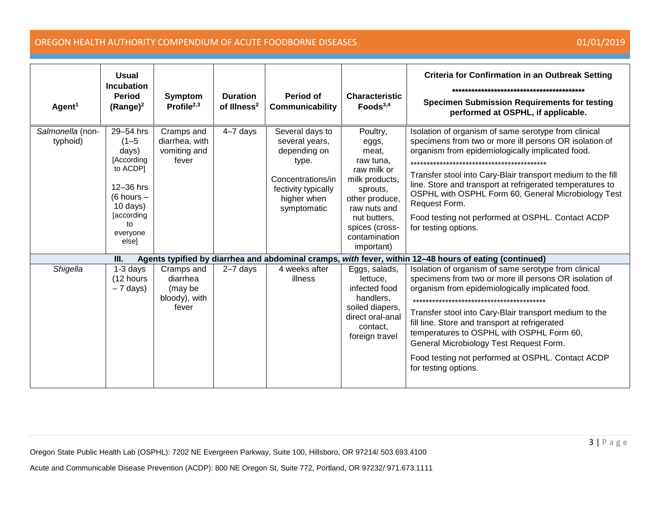| Agent <sup>1</sup>           | <b>Usual</b><br><b>Incubation</b><br><b>Period</b><br>$(Range)^2$                                                                                | <b>Symptom</b><br>Profile $^{2,3}$                          | <b>Duration</b><br>of Illness <sup>2</sup> | Period of<br>Communicability                                                                                                         | <b>Characteristic</b><br>Foods <sup>3,4</sup>                                                                                                                                           | <b>Criteria for Confirmation in an Outbreak Setting</b><br><b>Specimen Submission Requirements for testing</b><br>performed at OSPHL, if applicable.                                                                                                                                                                                                                                                                                                |
|------------------------------|--------------------------------------------------------------------------------------------------------------------------------------------------|-------------------------------------------------------------|--------------------------------------------|--------------------------------------------------------------------------------------------------------------------------------------|-----------------------------------------------------------------------------------------------------------------------------------------------------------------------------------------|-----------------------------------------------------------------------------------------------------------------------------------------------------------------------------------------------------------------------------------------------------------------------------------------------------------------------------------------------------------------------------------------------------------------------------------------------------|
| Salmonella (non-<br>typhoid) | 29-54 hrs<br>$(1 - 5)$<br>days)<br>[According]<br>to ACDP]<br>12-36 hrs<br>$(6$ hours $-$<br>$10$ days)<br>[according<br>to<br>everyone<br>else] | Cramps and<br>diarrhea, with<br>vomiting and<br>fever       | $4-7$ days                                 | Several days to<br>several years,<br>depending on<br>type.<br>Concentrations/in<br>fectivity typically<br>higher when<br>symptomatic | Poultry,<br>eggs,<br>meat,<br>raw tuna.<br>raw milk or<br>milk products,<br>sprouts,<br>other produce,<br>raw nuts and<br>nut butters,<br>spices (cross-<br>contamination<br>important) | Isolation of organism of same serotype from clinical<br>specimens from two or more ill persons OR isolation of<br>organism from epidemiologically implicated food.<br>Transfer stool into Cary-Blair transport medium to the fill<br>line. Store and transport at refrigerated temperatures to<br>OSPHL with OSPHL Form 60, General Microbiology Test<br>Request Form.<br>Food testing not performed at OSPHL. Contact ACDP<br>for testing options. |
|                              | III.                                                                                                                                             |                                                             |                                            |                                                                                                                                      |                                                                                                                                                                                         | Agents typified by diarrhea and abdominal cramps, with fever, within 12-48 hours of eating (continued)                                                                                                                                                                                                                                                                                                                                              |
| Shigella                     | 1-3 days<br>(12 hours<br>$-7$ days)                                                                                                              | Cramps and<br>diarrhea<br>(may be<br>bloody), with<br>fever | $2 - 7$ days                               | 4 weeks after<br>illness                                                                                                             | Eggs, salads,<br>lettuce,<br>infected food<br>handlers,<br>soiled diapers,<br>direct oral-anal<br>contact,<br>foreign travel                                                            | Isolation of organism of same serotype from clinical<br>specimens from two or more ill persons OR isolation of<br>organism from epidemiologically implicated food.<br>Transfer stool into Cary-Blair transport medium to the<br>fill line. Store and transport at refrigerated<br>temperatures to OSPHL with OSPHL Form 60,<br>General Microbiology Test Request Form.<br>Food testing not performed at OSPHL. Contact ACDP<br>for testing options. |

Oregon State Public Health Lab (OSPHL): 7202 NE Evergreen Parkway, Suite 100, Hillsboro, OR 97214/ 503.693.4100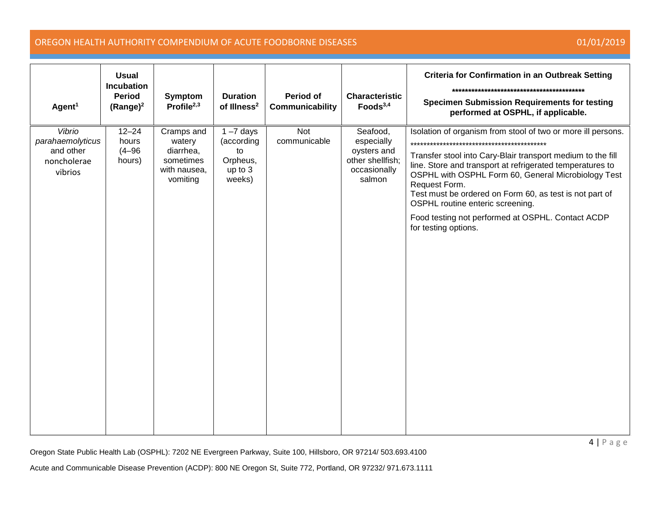| Agent <sup>1</sup>                                                | <b>Usual</b><br><b>Incubation</b><br><b>Period</b><br>$(Range)^2$ | Symptom<br>Profile $2,3$                                                   | <b>Duration</b><br>of Illness <sup>2</sup>                        | Period of<br>Communicability | <b>Characteristic</b><br>Foods <sup>3,4</sup>                                       | <b>Criteria for Confirmation in an Outbreak Setting</b><br><b>Specimen Submission Requirements for testing</b><br>performed at OSPHL, if applicable.                                                                                                                                                                                                                                                                                         |
|-------------------------------------------------------------------|-------------------------------------------------------------------|----------------------------------------------------------------------------|-------------------------------------------------------------------|------------------------------|-------------------------------------------------------------------------------------|----------------------------------------------------------------------------------------------------------------------------------------------------------------------------------------------------------------------------------------------------------------------------------------------------------------------------------------------------------------------------------------------------------------------------------------------|
| Vibrio<br>parahaemolyticus<br>and other<br>noncholerae<br>vibrios | $12 - 24$<br>hours<br>$(4 - 96)$<br>hours)                        | Cramps and<br>watery<br>diarrhea,<br>sometimes<br>with nausea,<br>vomiting | $1 - 7$ days<br>(according<br>to<br>Orpheus,<br>up to 3<br>weeks) | Not<br>communicable          | Seafood,<br>especially<br>oysters and<br>other shellfish;<br>occasionally<br>salmon | Isolation of organism from stool of two or more ill persons.<br>Transfer stool into Cary-Blair transport medium to the fill<br>line. Store and transport at refrigerated temperatures to<br>OSPHL with OSPHL Form 60, General Microbiology Test<br>Request Form.<br>Test must be ordered on Form 60, as test is not part of<br>OSPHL routine enteric screening.<br>Food testing not performed at OSPHL. Contact ACDP<br>for testing options. |

Oregon State Public Health Lab (OSPHL): 7202 NE Evergreen Parkway, Suite 100, Hillsboro, OR 97214/ 503.693.4100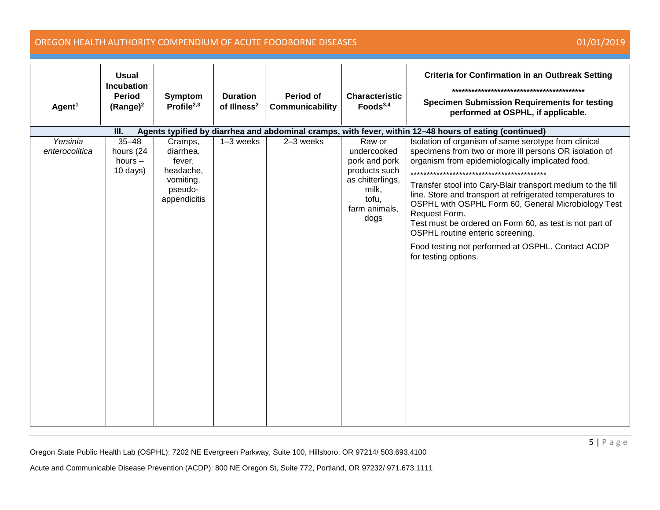| Agent <sup>1</sup>         | <b>Usual</b><br><b>Incubation</b><br><b>Period</b><br>$(Range)^2$ | Symptom<br>Profile $^{2,3}$                                                         | <b>Duration</b><br>of Illness <sup>2</sup> | <b>Period of</b><br>Communicability | <b>Characteristic</b><br>Foods <sup>3,4</sup>                                                                          | <b>Criteria for Confirmation in an Outbreak Setting</b><br><b>Specimen Submission Requirements for testing</b><br>performed at OSPHL, if applicable.                                                                                                                                                                                                                                                                                                                                                                                               |
|----------------------------|-------------------------------------------------------------------|-------------------------------------------------------------------------------------|--------------------------------------------|-------------------------------------|------------------------------------------------------------------------------------------------------------------------|----------------------------------------------------------------------------------------------------------------------------------------------------------------------------------------------------------------------------------------------------------------------------------------------------------------------------------------------------------------------------------------------------------------------------------------------------------------------------------------------------------------------------------------------------|
|                            | Ш.                                                                |                                                                                     |                                            |                                     |                                                                                                                        | Agents typified by diarrhea and abdominal cramps, with fever, within 12-48 hours of eating (continued)                                                                                                                                                                                                                                                                                                                                                                                                                                             |
| Yersinia<br>enterocolitica | $35 - 48$<br>hours (24<br>hours $-$<br>$10$ days)                 | Cramps,<br>diarrhea,<br>fever,<br>headache,<br>vomiting,<br>pseudo-<br>appendicitis | 1-3 weeks                                  | 2-3 weeks                           | Raw or<br>undercooked<br>pork and pork<br>products such<br>as chitterlings,<br>milk,<br>tofu,<br>farm animals,<br>dogs | Isolation of organism of same serotype from clinical<br>specimens from two or more ill persons OR isolation of<br>organism from epidemiologically implicated food.<br>Transfer stool into Cary-Blair transport medium to the fill<br>line. Store and transport at refrigerated temperatures to<br>OSPHL with OSPHL Form 60, General Microbiology Test<br>Request Form.<br>Test must be ordered on Form 60, as test is not part of<br>OSPHL routine enteric screening.<br>Food testing not performed at OSPHL. Contact ACDP<br>for testing options. |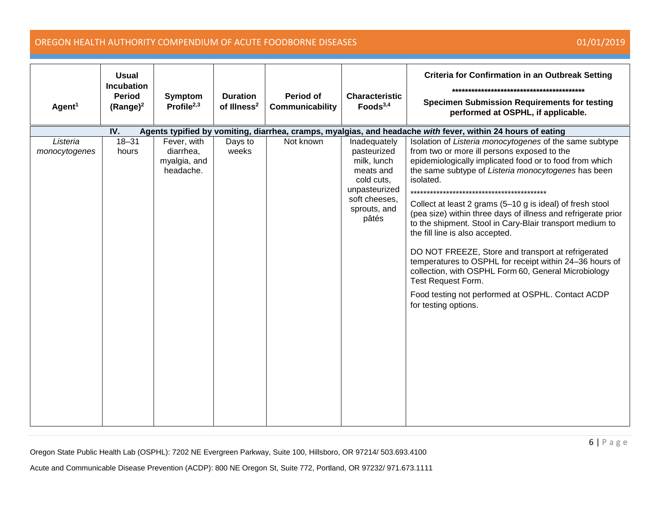| Agent <sup>1</sup>        | <b>Usual</b><br><b>Incubation</b><br><b>Period</b><br>$(Range)^2$                                                  | Symptom<br>Profile $^{2,3}$                           | <b>Duration</b><br>of Illness <sup>2</sup> | Period of<br>Communicability | <b>Characteristic</b><br>Foods $3,4$                                                                                             | <b>Criteria for Confirmation in an Outbreak Setting</b><br><b>Specimen Submission Requirements for testing</b><br>performed at OSPHL, if applicable.                                                                                                                                                                                                                                                                                                                                                                                                                                                                                                                                                                                           |  |  |  |  |  |
|---------------------------|--------------------------------------------------------------------------------------------------------------------|-------------------------------------------------------|--------------------------------------------|------------------------------|----------------------------------------------------------------------------------------------------------------------------------|------------------------------------------------------------------------------------------------------------------------------------------------------------------------------------------------------------------------------------------------------------------------------------------------------------------------------------------------------------------------------------------------------------------------------------------------------------------------------------------------------------------------------------------------------------------------------------------------------------------------------------------------------------------------------------------------------------------------------------------------|--|--|--|--|--|
|                           | IV.<br>Agents typified by vomiting, diarrhea, cramps, myalgias, and headache with fever, within 24 hours of eating |                                                       |                                            |                              |                                                                                                                                  |                                                                                                                                                                                                                                                                                                                                                                                                                                                                                                                                                                                                                                                                                                                                                |  |  |  |  |  |
| Listeria<br>monocytogenes | $18 - 31$<br>hours                                                                                                 | Fever, with<br>diarrhea,<br>myalgia, and<br>headache. | Days to<br>weeks                           | Not known                    | Inadequately<br>pasteurized<br>milk, lunch<br>meats and<br>cold cuts,<br>unpasteurized<br>soft cheeses,<br>sprouts, and<br>pâtés | Isolation of Listeria monocytogenes of the same subtype<br>from two or more ill persons exposed to the<br>epidemiologically implicated food or to food from which<br>the same subtype of Listeria monocytogenes has been<br>isolated.<br>Collect at least 2 grams (5-10 g is ideal) of fresh stool<br>(pea size) within three days of illness and refrigerate prior<br>to the shipment. Stool in Cary-Blair transport medium to<br>the fill line is also accepted.<br>DO NOT FREEZE, Store and transport at refrigerated<br>temperatures to OSPHL for receipt within 24-36 hours of<br>collection, with OSPHL Form 60, General Microbiology<br>Test Request Form.<br>Food testing not performed at OSPHL. Contact ACDP<br>for testing options. |  |  |  |  |  |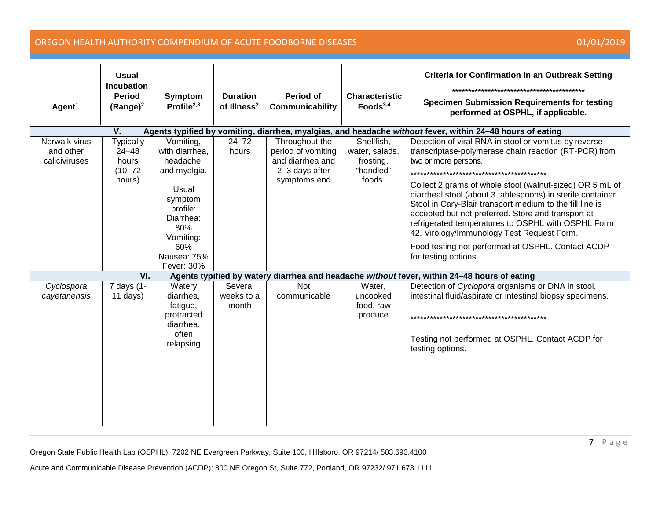| Agent <sup>1</sup>                          | <b>Usual</b><br><b>Incubation</b><br><b>Period</b><br>$(Range)^2$                                               | Symptom<br>Profile $^{2,3}$                                                                                                                                   | <b>Duration</b><br>of Illness <sup>2</sup> | <b>Period of</b><br>Communicability                                                        | <b>Characteristic</b><br>Foods $3,4$                             | <b>Criteria for Confirmation in an Outbreak Setting</b><br><b>Specimen Submission Requirements for testing</b><br>performed at OSPHL, if applicable.                                                                                                                                                                                                                                                                                                                                                                                                                 |  |  |  |  |  |
|---------------------------------------------|-----------------------------------------------------------------------------------------------------------------|---------------------------------------------------------------------------------------------------------------------------------------------------------------|--------------------------------------------|--------------------------------------------------------------------------------------------|------------------------------------------------------------------|----------------------------------------------------------------------------------------------------------------------------------------------------------------------------------------------------------------------------------------------------------------------------------------------------------------------------------------------------------------------------------------------------------------------------------------------------------------------------------------------------------------------------------------------------------------------|--|--|--|--|--|
|                                             | V.<br>Agents typified by vomiting, diarrhea, myalgias, and headache without fever, within 24-48 hours of eating |                                                                                                                                                               |                                            |                                                                                            |                                                                  |                                                                                                                                                                                                                                                                                                                                                                                                                                                                                                                                                                      |  |  |  |  |  |
| Norwalk virus<br>and other<br>caliciviruses | <b>Typically</b><br>$24 - 48$<br>hours<br>$(10 - 72)$<br>hours)                                                 | Vomiting,<br>with diarrhea,<br>headache,<br>and myalgia.<br>Usual<br>symptom<br>profile:<br>Diarrhea:<br>80%<br>Vomiting:<br>60%<br>Nausea: 75%<br>Fever: 30% | $24 - 72$<br>hours                         | Throughout the<br>period of vomiting<br>and diarrhea and<br>2-3 days after<br>symptoms end | Shellfish,<br>water, salads,<br>frosting,<br>"handled"<br>foods. | Detection of viral RNA in stool or vomitus by reverse<br>transcriptase-polymerase chain reaction (RT-PCR) from<br>two or more persons.<br>Collect 2 grams of whole stool (walnut-sized) OR 5 mL of<br>diarrheal stool (about 3 tablespoons) in sterile container.<br>Stool in Cary-Blair transport medium to the fill line is<br>accepted but not preferred. Store and transport at<br>refrigerated temperatures to OSPHL with OSPHL Form<br>42, Virology/Immunology Test Request Form.<br>Food testing not performed at OSPHL. Contact ACDP<br>for testing options. |  |  |  |  |  |
|                                             | $\overline{\mathsf{VI}}$ .                                                                                      |                                                                                                                                                               |                                            |                                                                                            |                                                                  | Agents typified by watery diarrhea and headache without fever, within 24-48 hours of eating                                                                                                                                                                                                                                                                                                                                                                                                                                                                          |  |  |  |  |  |
| Cyclospora<br>cayetanensis                  | 7 days (1-<br>$11$ days)                                                                                        | Watery<br>diarrhea,<br>fatigue,<br>protracted<br>diarrhea,<br>often<br>relapsing                                                                              | Several<br>weeks to a<br>month             | Not<br>communicable                                                                        | Water,<br>uncooked<br>food, raw<br>produce                       | Detection of Cyclopora organisms or DNA in stool,<br>intestinal fluid/aspirate or intestinal biopsy specimens.<br>Testing not performed at OSPHL. Contact ACDP for<br>testing options.                                                                                                                                                                                                                                                                                                                                                                               |  |  |  |  |  |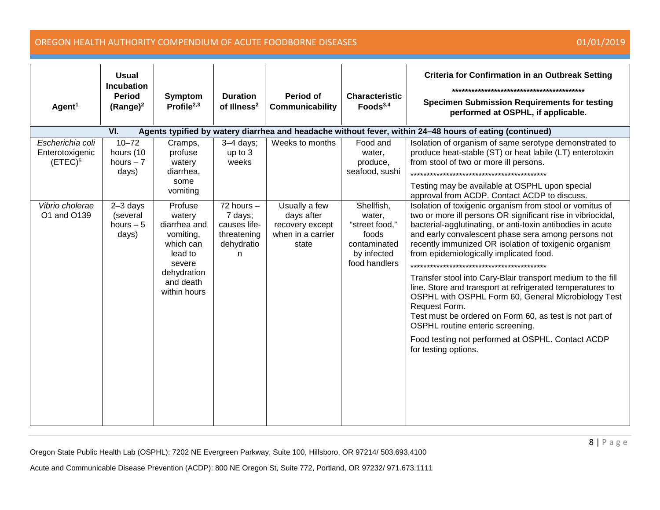| Agent <sup>1</sup>                                                                                             | <b>Usual</b><br><b>Incubation</b><br><b>Period</b><br>$(Range)^2$ | <b>Symptom</b><br>Profile $2,3$                                                                                              | <b>Duration</b><br>of Illness <sup>2</sup>                                   | <b>Period of</b><br>Communicability                                          | <b>Characteristic</b><br>Foods $3,4$                                                            | <b>Criteria for Confirmation in an Outbreak Setting</b><br><b>Specimen Submission Requirements for testing</b><br>performed at OSPHL, if applicable.                                                                                                                                                                                                                                                                                                                                                                                                                                                                                                                                                                             |  |  |  |  |
|----------------------------------------------------------------------------------------------------------------|-------------------------------------------------------------------|------------------------------------------------------------------------------------------------------------------------------|------------------------------------------------------------------------------|------------------------------------------------------------------------------|-------------------------------------------------------------------------------------------------|----------------------------------------------------------------------------------------------------------------------------------------------------------------------------------------------------------------------------------------------------------------------------------------------------------------------------------------------------------------------------------------------------------------------------------------------------------------------------------------------------------------------------------------------------------------------------------------------------------------------------------------------------------------------------------------------------------------------------------|--|--|--|--|
| Agents typified by watery diarrhea and headache without fever, within 24-48 hours of eating (continued)<br>VI. |                                                                   |                                                                                                                              |                                                                              |                                                                              |                                                                                                 |                                                                                                                                                                                                                                                                                                                                                                                                                                                                                                                                                                                                                                                                                                                                  |  |  |  |  |
| Escherichia coli<br>Enterotoxigenic<br>(ETEC) <sup>5</sup>                                                     | $10 - 72$<br>hours (10<br>hours $-7$<br>days)                     | Cramps,<br>profuse<br>watery<br>diarrhea,<br>some<br>vomiting                                                                | $3-4$ days;<br>up to 3<br>weeks                                              | Weeks to months                                                              | Food and<br>water,<br>produce,<br>seafood, sushi                                                | Isolation of organism of same serotype demonstrated to<br>produce heat-stable (ST) or heat labile (LT) enterotoxin<br>from stool of two or more ill persons.<br>**************************<br>Testing may be available at OSPHL upon special<br>approval from ACDP. Contact ACDP to discuss.                                                                                                                                                                                                                                                                                                                                                                                                                                     |  |  |  |  |
| Vibrio cholerae<br>O1 and O139                                                                                 | $2-3$ days<br>(several<br>hours $-5$<br>days)                     | Profuse<br>watery<br>diarrhea and<br>vomiting,<br>which can<br>lead to<br>severe<br>dehydration<br>and death<br>within hours | $72$ hours $-$<br>7 days;<br>causes life-<br>threatening<br>dehydratio<br>n. | Usually a few<br>days after<br>recovery except<br>when in a carrier<br>state | Shellfish,<br>water,<br>"street food,"<br>foods<br>contaminated<br>by infected<br>food handlers | Isolation of toxigenic organism from stool or vomitus of<br>two or more ill persons OR significant rise in vibriocidal,<br>bacterial-agglutinating, or anti-toxin antibodies in acute<br>and early convalescent phase sera among persons not<br>recently immunized OR isolation of toxigenic organism<br>from epidemiologically implicated food.<br>Transfer stool into Cary-Blair transport medium to the fill<br>line. Store and transport at refrigerated temperatures to<br>OSPHL with OSPHL Form 60, General Microbiology Test<br>Request Form.<br>Test must be ordered on Form 60, as test is not part of<br>OSPHL routine enteric screening.<br>Food testing not performed at OSPHL. Contact ACDP<br>for testing options. |  |  |  |  |

Oregon State Public Health Lab (OSPHL): 7202 NE Evergreen Parkway, Suite 100, Hillsboro, OR 97214/ 503.693.4100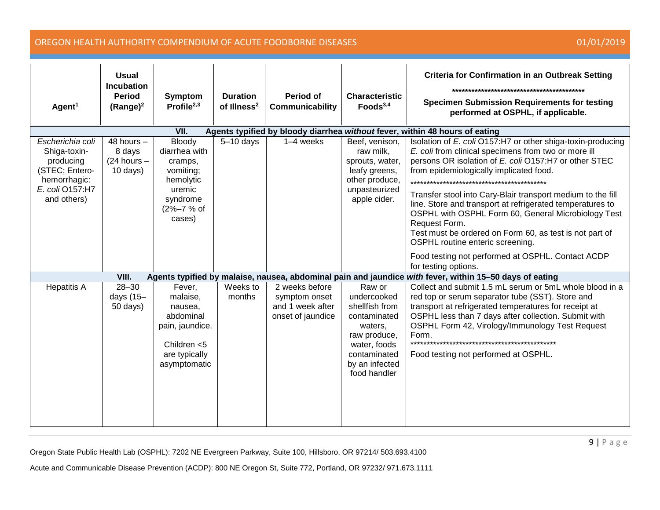| Agent <sup>1</sup>                                                                                                | <b>Usual</b><br><b>Incubation</b><br><b>Period</b><br>$(Range)^2$ | Symptom<br>Profile $2,3$                                                                                   | <b>Duration</b><br>of Illness <sup>2</sup>                                  | Period of<br>Communicability                                             | <b>Characteristic</b><br>Foods $3,4$                                                                                                       | <b>Criteria for Confirmation in an Outbreak Setting</b><br><b>Specimen Submission Requirements for testing</b><br>performed at OSPHL, if applicable.                                                                                                                                                                                                                                                                                                                                                                                                                                                                 |
|-------------------------------------------------------------------------------------------------------------------|-------------------------------------------------------------------|------------------------------------------------------------------------------------------------------------|-----------------------------------------------------------------------------|--------------------------------------------------------------------------|--------------------------------------------------------------------------------------------------------------------------------------------|----------------------------------------------------------------------------------------------------------------------------------------------------------------------------------------------------------------------------------------------------------------------------------------------------------------------------------------------------------------------------------------------------------------------------------------------------------------------------------------------------------------------------------------------------------------------------------------------------------------------|
|                                                                                                                   |                                                                   | VII.                                                                                                       | Agents typified by bloody diarrhea without fever, within 48 hours of eating |                                                                          |                                                                                                                                            |                                                                                                                                                                                                                                                                                                                                                                                                                                                                                                                                                                                                                      |
| Escherichia coli<br>Shiga-toxin-<br>producing<br>(STEC; Entero-<br>hemorrhagic:<br>E. coli O157:H7<br>and others) | 48 hours $-$<br>8 days<br>$(24$ hours $-$<br>$10$ days)           | Bloody<br>diarrhea with<br>cramps,<br>vomiting;<br>hemolytic<br>uremic<br>syndrome<br>(2%-7 % of<br>cases) | $5-10$ days                                                                 | $1-4$ weeks                                                              | Beef, venison,<br>raw milk,<br>sprouts, water,<br>leafy greens,<br>other produce,<br>unpasteurized<br>apple cider.                         | Isolation of E. coli O157:H7 or other shiga-toxin-producing<br>E. coli from clinical specimens from two or more ill<br>persons OR isolation of E. coli O157:H7 or other STEC<br>from epidemiologically implicated food.<br>*********************************<br>Transfer stool into Cary-Blair transport medium to the fill<br>line. Store and transport at refrigerated temperatures to<br>OSPHL with OSPHL Form 60, General Microbiology Test<br>Request Form.<br>Test must be ordered on Form 60, as test is not part of<br>OSPHL routine enteric screening.<br>Food testing not performed at OSPHL. Contact ACDP |
|                                                                                                                   |                                                                   |                                                                                                            |                                                                             |                                                                          |                                                                                                                                            | for testing options.                                                                                                                                                                                                                                                                                                                                                                                                                                                                                                                                                                                                 |
| <b>Hepatitis A</b>                                                                                                | VIII.<br>$28 - 30$                                                | Fever,                                                                                                     | Weeks to                                                                    |                                                                          | Raw or                                                                                                                                     | Agents typified by malaise, nausea, abdominal pain and jaundice with fever, within 15-50 days of eating<br>Collect and submit 1.5 mL serum or 5mL whole blood in a                                                                                                                                                                                                                                                                                                                                                                                                                                                   |
|                                                                                                                   | days $(15-$<br>50 days)                                           | malaise,<br>nausea,<br>abdominal<br>pain, jaundice.<br>Children <5<br>are typically<br>asymptomatic        | months                                                                      | 2 weeks before<br>symptom onset<br>and 1 week after<br>onset of jaundice | undercooked<br>shellfish from<br>contaminated<br>waters.<br>raw produce,<br>water, foods<br>contaminated<br>by an infected<br>food handler | red top or serum separator tube (SST). Store and<br>transport at refrigerated temperatures for receipt at<br>OSPHL less than 7 days after collection. Submit with<br>OSPHL Form 42, Virology/Immunology Test Request<br>Form.<br>Food testing not performed at OSPHL.                                                                                                                                                                                                                                                                                                                                                |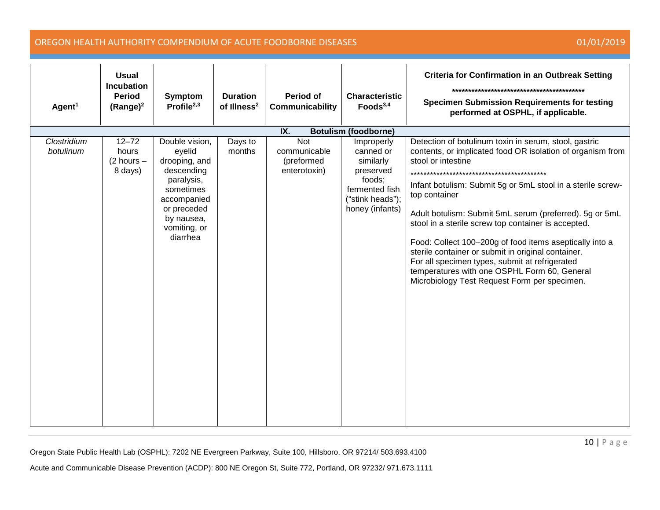| Agent <sup>1</sup>       | <b>Usual</b><br><b>Incubation</b><br><b>Period</b><br>$(Range)^2$ | Symptom<br>Profile $2,3$                                                                                                                                   | <b>Duration</b><br>of Illness <sup>2</sup> | <b>Period of</b><br>Communicability               | <b>Characteristic</b><br>Foods $3,4$                                                                                 | <b>Criteria for Confirmation in an Outbreak Setting</b><br><b>Specimen Submission Requirements for testing</b><br>performed at OSPHL, if applicable.                                                                                                                                                                                                                                                                                                                                                                                                                                                           |
|--------------------------|-------------------------------------------------------------------|------------------------------------------------------------------------------------------------------------------------------------------------------------|--------------------------------------------|---------------------------------------------------|----------------------------------------------------------------------------------------------------------------------|----------------------------------------------------------------------------------------------------------------------------------------------------------------------------------------------------------------------------------------------------------------------------------------------------------------------------------------------------------------------------------------------------------------------------------------------------------------------------------------------------------------------------------------------------------------------------------------------------------------|
|                          |                                                                   |                                                                                                                                                            |                                            | IX.                                               | <b>Botulism (foodborne)</b>                                                                                          |                                                                                                                                                                                                                                                                                                                                                                                                                                                                                                                                                                                                                |
| Clostridium<br>botulinum | $12 - 72$<br>hours<br>$(2 hours -$<br>8 days)                     | Double vision,<br>eyelid<br>drooping, and<br>descending<br>paralysis,<br>sometimes<br>accompanied<br>or preceded<br>by nausea,<br>vomiting, or<br>diarrhea | Days to<br>months                          | Not<br>communicable<br>(preformed<br>enterotoxin) | Improperly<br>canned or<br>similarly<br>preserved<br>foods;<br>fermented fish<br>("stink heads");<br>honey (infants) | Detection of botulinum toxin in serum, stool, gastric<br>contents, or implicated food OR isolation of organism from<br>stool or intestine<br>Infant botulism: Submit 5g or 5mL stool in a sterile screw-<br>top container<br>Adult botulism: Submit 5mL serum (preferred). 5g or 5mL<br>stool in a sterile screw top container is accepted.<br>Food: Collect 100-200g of food items aseptically into a<br>sterile container or submit in original container.<br>For all specimen types, submit at refrigerated<br>temperatures with one OSPHL Form 60, General<br>Microbiology Test Request Form per specimen. |

Oregon State Public Health Lab (OSPHL): 7202 NE Evergreen Parkway, Suite 100, Hillsboro, OR 97214/ 503.693.4100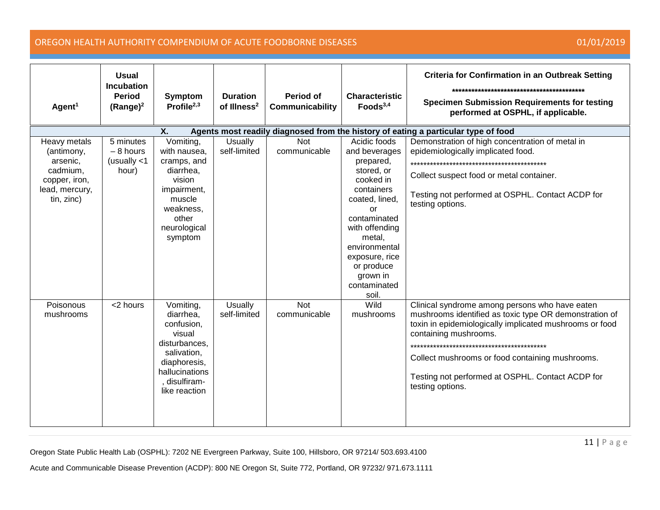| Agent <sup>1</sup>                                                                                  | <b>Usual</b><br><b>Incubation</b><br><b>Period</b><br>$(Range)^2$                        | <b>Symptom</b><br>Profile $2,3$                                                                                                                  | <b>Duration</b><br>of Illness <sup>2</sup> | Period of<br>Communicability | <b>Characteristic</b><br>Foods $3,4$                                                                                                                                                                                                          | <b>Criteria for Confirmation in an Outbreak Setting</b><br><b>Specimen Submission Requirements for testing</b><br>performed at OSPHL, if applicable.                                                                                                                                                                                                             |  |  |  |  |  |
|-----------------------------------------------------------------------------------------------------|------------------------------------------------------------------------------------------|--------------------------------------------------------------------------------------------------------------------------------------------------|--------------------------------------------|------------------------------|-----------------------------------------------------------------------------------------------------------------------------------------------------------------------------------------------------------------------------------------------|------------------------------------------------------------------------------------------------------------------------------------------------------------------------------------------------------------------------------------------------------------------------------------------------------------------------------------------------------------------|--|--|--|--|--|
|                                                                                                     | Χ.<br>Agents most readily diagnosed from the history of eating a particular type of food |                                                                                                                                                  |                                            |                              |                                                                                                                                                                                                                                               |                                                                                                                                                                                                                                                                                                                                                                  |  |  |  |  |  |
| Heavy metals<br>(antimony,<br>arsenic,<br>cadmium,<br>copper, iron,<br>lead, mercury,<br>tin, zinc) | 5 minutes<br>$-8$ hours<br>(usually $<$ 1<br>hour)                                       | Vomiting,<br>with nausea,<br>cramps, and<br>diarrhea,<br>vision<br>impairment,<br>muscle<br>weakness,<br>other<br>neurological<br>symptom        | Usually<br>self-limited                    | Not<br>communicable          | Acidic foods<br>and beverages<br>prepared,<br>stored, or<br>cooked in<br>containers<br>coated, lined,<br>or<br>contaminated<br>with offending<br>metal,<br>environmental<br>exposure, rice<br>or produce<br>grown in<br>contaminated<br>soil. | Demonstration of high concentration of metal in<br>epidemiologically implicated food.<br>********************************<br>Collect suspect food or metal container.<br>Testing not performed at OSPHL. Contact ACDP for<br>testing options.                                                                                                                    |  |  |  |  |  |
| Poisonous<br>mushrooms                                                                              | <2 hours                                                                                 | Vomiting,<br>diarrhea,<br>confusion,<br>visual<br>disturbances,<br>salivation,<br>diaphoresis,<br>hallucinations<br>disulfiram-<br>like reaction | Usually<br>self-limited                    | <b>Not</b><br>communicable   | Wild<br>mushrooms                                                                                                                                                                                                                             | Clinical syndrome among persons who have eaten<br>mushrooms identified as toxic type OR demonstration of<br>toxin in epidemiologically implicated mushrooms or food<br>containing mushrooms.<br>*************************************<br>Collect mushrooms or food containing mushrooms.<br>Testing not performed at OSPHL. Contact ACDP for<br>testing options. |  |  |  |  |  |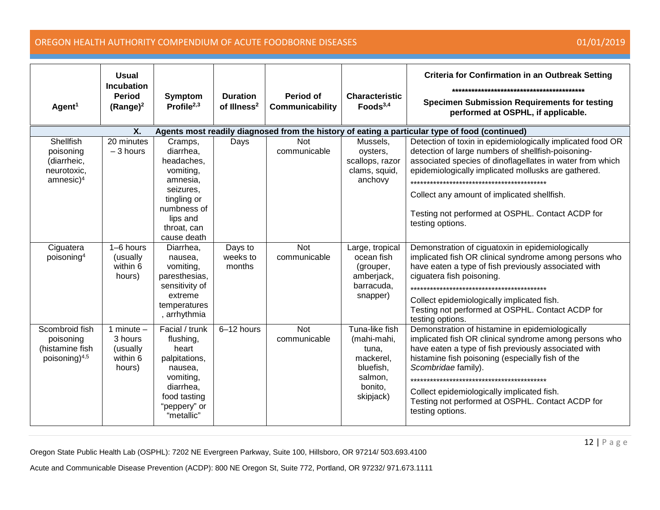| Agent <sup>1</sup>                                                                                   | <b>Usual</b><br><b>Incubation</b><br><b>Period</b><br>$(Range)^2$ | <b>Symptom</b><br>Profile $2,3$                                                                                                                  | <b>Duration</b><br>of Illness <sup>2</sup> | Period of<br><b>Communicability</b> | <b>Characteristic</b><br>Foods $3,4$                                                                | <b>Criteria for Confirmation in an Outbreak Setting</b><br><b>Specimen Submission Requirements for testing</b><br>performed at OSPHL, if applicable.                                                                                                                                                                                                                                           |  |  |  |  |
|------------------------------------------------------------------------------------------------------|-------------------------------------------------------------------|--------------------------------------------------------------------------------------------------------------------------------------------------|--------------------------------------------|-------------------------------------|-----------------------------------------------------------------------------------------------------|------------------------------------------------------------------------------------------------------------------------------------------------------------------------------------------------------------------------------------------------------------------------------------------------------------------------------------------------------------------------------------------------|--|--|--|--|
| Agents most readily diagnosed from the history of eating a particular type of food (continued)<br>Χ. |                                                                   |                                                                                                                                                  |                                            |                                     |                                                                                                     |                                                                                                                                                                                                                                                                                                                                                                                                |  |  |  |  |
| Shellfish<br>poisoning<br>(diarrheic,<br>neurotoxic,<br>amnesic) <sup>4</sup>                        | 20 minutes<br>$-3$ hours                                          | Cramps,<br>diarrhea.<br>headaches,<br>vomiting,<br>amnesia,<br>seizures,<br>tingling or<br>numbness of<br>lips and<br>throat, can<br>cause death | Days                                       | <b>Not</b><br>communicable          | Mussels,<br>oysters,<br>scallops, razor<br>clams, squid,<br>anchovy                                 | Detection of toxin in epidemiologically implicated food OR<br>detection of large numbers of shellfish-poisoning-<br>associated species of dinoflagellates in water from which<br>epidemiologically implicated mollusks are gathered.<br>*******************************<br>Collect any amount of implicated shellfish.<br>Testing not performed at OSPHL. Contact ACDP for<br>testing options. |  |  |  |  |
| Ciguatera<br>poisoning <sup>4</sup>                                                                  | $1-6$ hours<br>(usually<br>within 6<br>hours)                     | Diarrhea,<br>nausea,<br>vomiting,<br>paresthesias,<br>sensitivity of<br>extreme<br>temperatures<br>, arrhythmia                                  | Days to<br>weeks to<br>months              | <b>Not</b><br>communicable          | Large, tropical<br>ocean fish<br>(grouper,<br>amberjack,<br>barracuda,<br>snapper)                  | Demonstration of ciguatoxin in epidemiologically<br>implicated fish OR clinical syndrome among persons who<br>have eaten a type of fish previously associated with<br>ciguatera fish poisoning.<br>************************************<br>Collect epidemiologically implicated fish.<br>Testing not performed at OSPHL. Contact ACDP for<br>testing options.                                  |  |  |  |  |
| Scombroid fish<br>poisoning<br>(histamine fish<br>poisoning) <sup>4,5</sup>                          | 1 minute $-$<br>3 hours<br>(usually<br>within 6<br>hours)         | Facial / trunk<br>flushing,<br>heart<br>palpitations,<br>nausea,<br>vomiting,<br>diarrhea,<br>food tasting<br>"peppery" or<br>"metallic"         | 6-12 hours                                 | <b>Not</b><br>communicable          | Tuna-like fish<br>(mahi-mahi,<br>tuna,<br>mackerel,<br>bluefish,<br>salmon,<br>bonito,<br>skipjack) | Demonstration of histamine in epidemiologically<br>implicated fish OR clinical syndrome among persons who<br>have eaten a type of fish previously associated with<br>histamine fish poisoning (especially fish of the<br>Scombridae family).<br>Collect epidemiologically implicated fish.<br>Testing not performed at OSPHL. Contact ACDP for<br>testing options.                             |  |  |  |  |

Oregon State Public Health Lab (OSPHL): 7202 NE Evergreen Parkway, Suite 100, Hillsboro, OR 97214/ 503.693.4100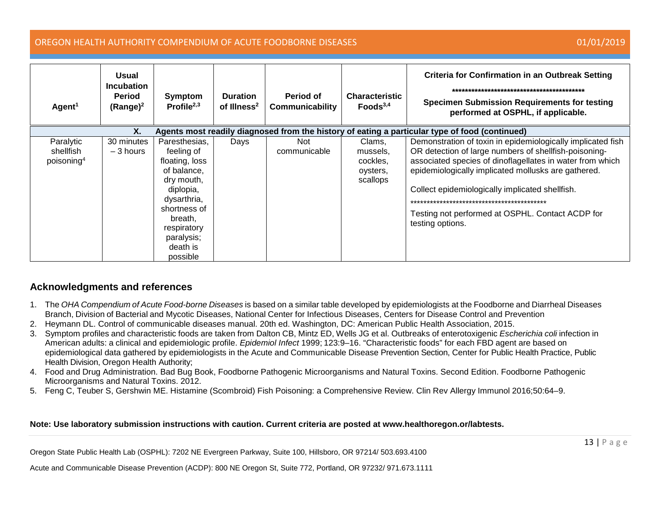### OREGON HEALTH AUTHORITY COMPENDIUM OF ACUTE FOODBORNE DISEASES 01/01/2019

| Agent <sup>1</sup>                                                                                   | Usual<br><b>Incubation</b><br><b>Period</b><br>$(Range)^2$ | Symptom<br>Profile $2,3$                                                                                                                                                               | <b>Duration</b><br>of Illness <sup>2</sup> | Period of<br><b>Communicability</b> | <b>Characteristic</b><br>Foods <sup>3,4</sup>          | <b>Criteria for Confirmation in an Outbreak Setting</b><br><b>Specimen Submission Requirements for testing</b><br>performed at OSPHL, if applicable.                                                                                                                                                                                                                |
|------------------------------------------------------------------------------------------------------|------------------------------------------------------------|----------------------------------------------------------------------------------------------------------------------------------------------------------------------------------------|--------------------------------------------|-------------------------------------|--------------------------------------------------------|---------------------------------------------------------------------------------------------------------------------------------------------------------------------------------------------------------------------------------------------------------------------------------------------------------------------------------------------------------------------|
| Χ.<br>Agents most readily diagnosed from the history of eating a particular type of food (continued) |                                                            |                                                                                                                                                                                        |                                            |                                     |                                                        |                                                                                                                                                                                                                                                                                                                                                                     |
| Paralytic<br>shellfish<br>poisoning <sup>4</sup>                                                     | 30 minutes<br>$-3$ hours                                   | Paresthesias,<br>feeling of<br>floating, loss<br>of balance,<br>dry mouth,<br>diplopia,<br>dysarthria,<br>shortness of<br>breath,<br>respiratory<br>paralysis;<br>death is<br>possible | Days                                       | Not.<br>communicable                | Clams,<br>mussels,<br>cockles,<br>oysters,<br>scallops | Demonstration of toxin in epidemiologically implicated fish<br>OR detection of large numbers of shellfish-poisoning-<br>associated species of dinoflagellates in water from which<br>epidemiologically implicated mollusks are gathered.<br>Collect epidemiologically implicated shellfish.<br>Testing not performed at OSPHL. Contact ACDP for<br>testing options. |

### **Acknowledgments and references**

- 1. The *OHA Compendium of Acute Food-borne Diseases* is based on a similar table developed by epidemiologists at the Foodborne and Diarrheal Diseases Branch, Division of Bacterial and Mycotic Diseases, National Center for Infectious Diseases, Centers for Disease Control and Prevention
- 2. Heymann DL. Control of communicable diseases manual. 20th ed. Washington, DC: American Public Health Association, 2015.
- 3. Symptom profiles and characteristic foods are taken from Dalton CB, Mintz ED, Wells JG et al. Outbreaks of enterotoxigenic *Escherichia coli* infection in American adults: a clinical and epidemiologic profile. *Epidemiol Infect* 1999; 123:9–16. "Characteristic foods" for each FBD agent are based on epidemiological data gathered by epidemiologists in the Acute and Communicable Disease Prevention Section, Center for Public Health Practice, Public Health Division, Oregon Health Authority;
- 4. Food and Drug Administration. Bad Bug Book, Foodborne Pathogenic Microorganisms and Natural Toxins. Second Edition. Foodborne Pathogenic Microorganisms and Natural Toxins. 2012.
- 5. Feng C, Teuber S, Gershwin ME. Histamine (Scombroid) Fish Poisoning: a Comprehensive Review. Clin Rev Allergy Immunol 2016;50:64–9.

### **Note: Use laboratory submission instructions with caution. Current criteria are posted at www.healthoregon.or/labtests.**

Oregon State Public Health Lab (OSPHL): 7202 NE Evergreen Parkway, Suite 100, Hillsboro, OR 97214/ 503.693.4100